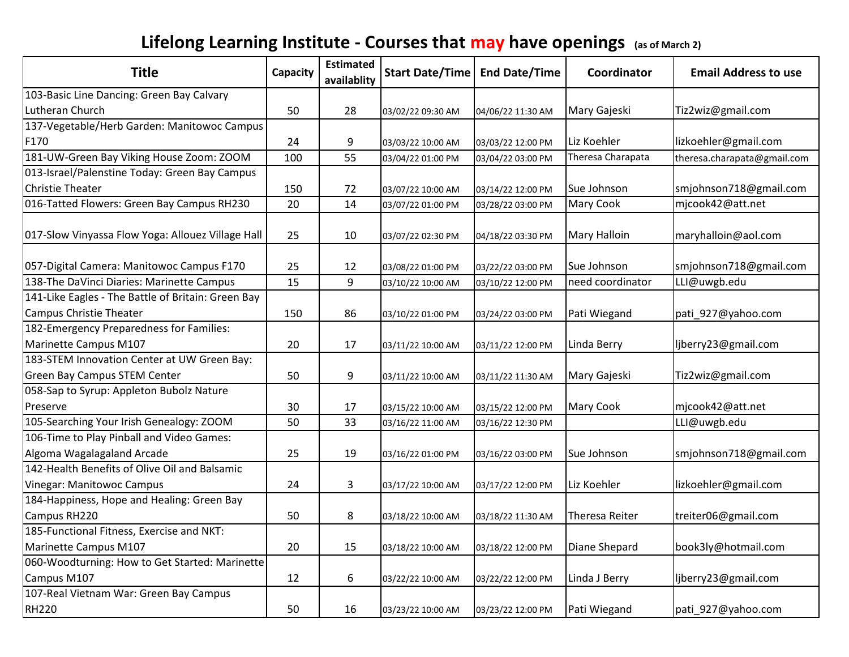## **Lifelong Learning Institute - Courses that may have openings (as of March 2)**

| <b>Title</b>                                                                         | Capacity | <b>Estimated</b><br>availablity | <b>Start Date/Time</b> | <b>End Date/Time</b> | Coordinator           | <b>Email Address to use</b> |
|--------------------------------------------------------------------------------------|----------|---------------------------------|------------------------|----------------------|-----------------------|-----------------------------|
| 103-Basic Line Dancing: Green Bay Calvary                                            |          |                                 |                        |                      |                       |                             |
| Lutheran Church                                                                      | 50       | 28                              | 03/02/22 09:30 AM      | 04/06/22 11:30 AM    | Mary Gajeski          | Tiz2wiz@gmail.com           |
| 137-Vegetable/Herb Garden: Manitowoc Campus                                          |          |                                 |                        |                      |                       |                             |
| F170                                                                                 | 24       | 9                               | 03/03/22 10:00 AM      | 03/03/22 12:00 PM    | Liz Koehler           | lizkoehler@gmail.com        |
| 181-UW-Green Bay Viking House Zoom: ZOOM                                             | 100      | 55                              | 03/04/22 01:00 PM      | 03/04/22 03:00 PM    | Theresa Charapata     | theresa.charapata@gmail.com |
| 013-Israel/Palenstine Today: Green Bay Campus                                        |          |                                 |                        |                      |                       |                             |
| <b>Christie Theater</b>                                                              | 150      | 72                              | 03/07/22 10:00 AM      | 03/14/22 12:00 PM    | Sue Johnson           | smjohnson718@gmail.com      |
| 016-Tatted Flowers: Green Bay Campus RH230                                           | 20       | 14                              | 03/07/22 01:00 PM      | 03/28/22 03:00 PM    | <b>Mary Cook</b>      | mjcook42@att.net            |
| 017-Slow Vinyassa Flow Yoga: Allouez Village Hall                                    | 25       | 10                              | 03/07/22 02:30 PM      | 04/18/22 03:30 PM    | Mary Halloin          | maryhalloin@aol.com         |
| 057-Digital Camera: Manitowoc Campus F170                                            | 25       | 12                              | 03/08/22 01:00 PM      | 03/22/22 03:00 PM    | Sue Johnson           | smjohnson718@gmail.com      |
| 138-The DaVinci Diaries: Marinette Campus                                            | 15       | 9                               | 03/10/22 10:00 AM      | 03/10/22 12:00 PM    | need coordinator      | LLI@uwgb.edu                |
| 141-Like Eagles - The Battle of Britain: Green Bay<br><b>Campus Christie Theater</b> | 150      | 86                              | 03/10/22 01:00 PM      | 03/24/22 03:00 PM    | Pati Wiegand          | pati_927@yahoo.com          |
| 182-Emergency Preparedness for Families:                                             |          |                                 |                        |                      |                       |                             |
| Marinette Campus M107                                                                | 20       | 17                              | 03/11/22 10:00 AM      | 03/11/22 12:00 PM    | Linda Berry           | ljberry23@gmail.com         |
| 183-STEM Innovation Center at UW Green Bay:                                          |          |                                 |                        |                      |                       |                             |
| <b>Green Bay Campus STEM Center</b>                                                  | 50       | 9                               | 03/11/22 10:00 AM      | 03/11/22 11:30 AM    | Mary Gajeski          | Tiz2wiz@gmail.com           |
| 058-Sap to Syrup: Appleton Bubolz Nature                                             |          |                                 |                        |                      |                       |                             |
| Preserve                                                                             | 30       | 17                              | 03/15/22 10:00 AM      | 03/15/22 12:00 PM    | Mary Cook             | mjcook42@att.net            |
| 105-Searching Your Irish Genealogy: ZOOM                                             | 50       | 33                              | 03/16/22 11:00 AM      | 03/16/22 12:30 PM    |                       | LLI@uwgb.edu                |
| 106-Time to Play Pinball and Video Games:                                            |          |                                 |                        |                      |                       |                             |
| Algoma Wagalagaland Arcade                                                           | 25       | 19                              | 03/16/22 01:00 PM      | 03/16/22 03:00 PM    | Sue Johnson           | smjohnson718@gmail.com      |
| 142-Health Benefits of Olive Oil and Balsamic                                        |          |                                 |                        |                      |                       |                             |
| Vinegar: Manitowoc Campus                                                            | 24       | 3                               | 03/17/22 10:00 AM      | 03/17/22 12:00 PM    | Liz Koehler           | lizkoehler@gmail.com        |
| 184-Happiness, Hope and Healing: Green Bay                                           |          |                                 |                        |                      |                       |                             |
| Campus RH220                                                                         | 50       | 8                               | 03/18/22 10:00 AM      | 03/18/22 11:30 AM    | <b>Theresa Reiter</b> | treiter06@gmail.com         |
| 185-Functional Fitness, Exercise and NKT:                                            |          |                                 |                        |                      |                       |                             |
| Marinette Campus M107                                                                | 20       | 15                              | 03/18/22 10:00 AM      | 03/18/22 12:00 PM    | Diane Shepard         | book3ly@hotmail.com         |
| 060-Woodturning: How to Get Started: Marinette                                       |          |                                 |                        |                      |                       |                             |
| Campus M107                                                                          | 12       | 6                               | 03/22/22 10:00 AM      | 03/22/22 12:00 PM    | Linda J Berry         | ljberry23@gmail.com         |
| 107-Real Vietnam War: Green Bay Campus                                               |          |                                 |                        |                      |                       |                             |
| <b>RH220</b>                                                                         | 50       | 16                              | 03/23/22 10:00 AM      | 03/23/22 12:00 PM    | Pati Wiegand          | pati_927@yahoo.com          |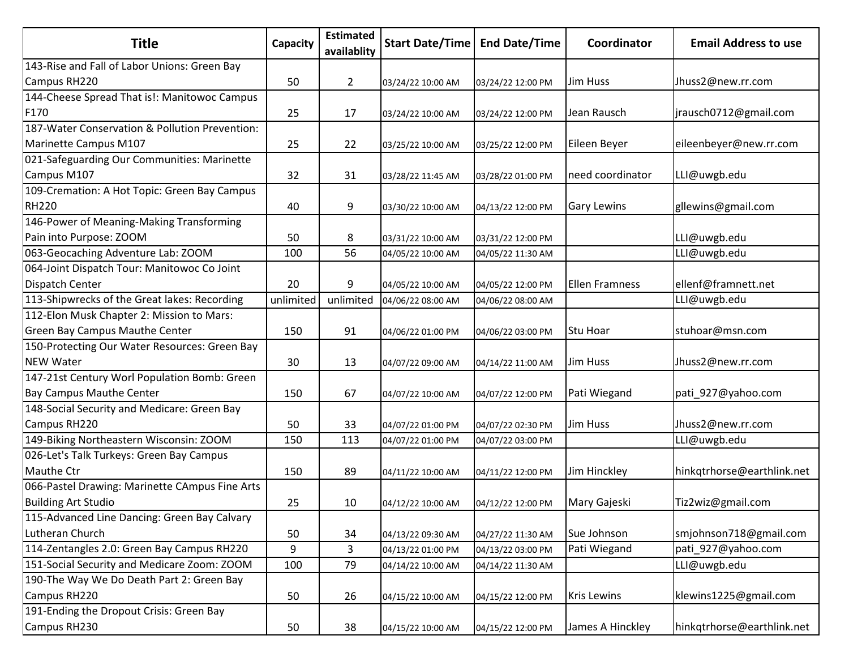| <b>Title</b>                                   | Capacity  | <b>Estimated</b><br>availablity |                   | Start Date/Time   End Date/Time | Coordinator           | <b>Email Address to use</b> |
|------------------------------------------------|-----------|---------------------------------|-------------------|---------------------------------|-----------------------|-----------------------------|
| 143-Rise and Fall of Labor Unions: Green Bay   |           |                                 |                   |                                 |                       |                             |
| Campus RH220                                   | 50        | $\overline{2}$                  | 03/24/22 10:00 AM | 03/24/22 12:00 PM               | Jim Huss              | Jhuss2@new.rr.com           |
| 144-Cheese Spread That is!: Manitowoc Campus   |           |                                 |                   |                                 |                       |                             |
| F170                                           | 25        | 17                              | 03/24/22 10:00 AM | 03/24/22 12:00 PM               | Jean Rausch           | jrausch0712@gmail.com       |
| 187-Water Conservation & Pollution Prevention: |           |                                 |                   |                                 |                       |                             |
| Marinette Campus M107                          | 25        | 22                              | 03/25/22 10:00 AM | 03/25/22 12:00 PM               | Eileen Beyer          | eileenbeyer@new.rr.com      |
| 021-Safeguarding Our Communities: Marinette    |           |                                 |                   |                                 |                       |                             |
| Campus M107                                    | 32        | 31                              | 03/28/22 11:45 AM | 03/28/22 01:00 PM               | need coordinator      | LLI@uwgb.edu                |
| 109-Cremation: A Hot Topic: Green Bay Campus   |           |                                 |                   |                                 |                       |                             |
| <b>RH220</b>                                   | 40        | 9                               | 03/30/22 10:00 AM | 04/13/22 12:00 PM               | <b>Gary Lewins</b>    | gllewins@gmail.com          |
| 146-Power of Meaning-Making Transforming       |           |                                 |                   |                                 |                       |                             |
| Pain into Purpose: ZOOM                        | 50        | 8                               | 03/31/22 10:00 AM | 03/31/22 12:00 PM               |                       | LLI@uwgb.edu                |
| 063-Geocaching Adventure Lab: ZOOM             | 100       | 56                              | 04/05/22 10:00 AM | 04/05/22 11:30 AM               |                       | LLI@uwgb.edu                |
| 064-Joint Dispatch Tour: Manitowoc Co Joint    |           |                                 |                   |                                 |                       |                             |
| Dispatch Center                                | 20        | 9                               | 04/05/22 10:00 AM | 04/05/22 12:00 PM               | <b>Ellen Framness</b> | ellenf@framnett.net         |
| 113-Shipwrecks of the Great lakes: Recording   | unlimited | unlimited                       | 04/06/22 08:00 AM | 04/06/22 08:00 AM               |                       | LLI@uwgb.edu                |
| 112-Elon Musk Chapter 2: Mission to Mars:      |           |                                 |                   |                                 |                       |                             |
| <b>Green Bay Campus Mauthe Center</b>          | 150       | 91                              | 04/06/22 01:00 PM | 04/06/22 03:00 PM               | Stu Hoar              | stuhoar@msn.com             |
| 150-Protecting Our Water Resources: Green Bay  |           |                                 |                   |                                 |                       |                             |
| <b>NEW Water</b>                               | 30        | 13                              | 04/07/22 09:00 AM | 04/14/22 11:00 AM               | Jim Huss              | Jhuss2@new.rr.com           |
| 147-21st Century Worl Population Bomb: Green   |           |                                 |                   |                                 |                       |                             |
| <b>Bay Campus Mauthe Center</b>                | 150       | 67                              | 04/07/22 10:00 AM | 04/07/22 12:00 PM               | Pati Wiegand          | pati_927@yahoo.com          |
| 148-Social Security and Medicare: Green Bay    |           |                                 |                   |                                 |                       |                             |
| Campus RH220                                   | 50        | 33                              | 04/07/22 01:00 PM | 04/07/22 02:30 PM               | Jim Huss              | Jhuss2@new.rr.com           |
| 149-Biking Northeastern Wisconsin: ZOOM        | 150       | 113                             | 04/07/22 01:00 PM | 04/07/22 03:00 PM               |                       | LLI@uwgb.edu                |
| 026-Let's Talk Turkeys: Green Bay Campus       |           |                                 |                   |                                 |                       |                             |
| Mauthe Ctr                                     | 150       | 89                              | 04/11/22 10:00 AM | 04/11/22 12:00 PM               | Jim Hinckley          | hinkqtrhorse@earthlink.net  |
| 066-Pastel Drawing: Marinette CAmpus Fine Arts |           |                                 |                   |                                 |                       |                             |
| <b>Building Art Studio</b>                     | 25        | 10                              | 04/12/22 10:00 AM | 04/12/22 12:00 PM               | Mary Gajeski          | Tiz2wiz@gmail.com           |
| 115-Advanced Line Dancing: Green Bay Calvary   |           |                                 |                   |                                 |                       |                             |
| Lutheran Church                                | 50        | 34                              | 04/13/22 09:30 AM | 04/27/22 11:30 AM               | Sue Johnson           | smjohnson718@gmail.com      |
| 114-Zentangles 2.0: Green Bay Campus RH220     | 9         | $\mathbf{3}$                    | 04/13/22 01:00 PM | 04/13/22 03:00 PM               | Pati Wiegand          | pati 927@yahoo.com          |
| 151-Social Security and Medicare Zoom: ZOOM    | 100       | 79                              | 04/14/22 10:00 AM | 04/14/22 11:30 AM               |                       | LLI@uwgb.edu                |
| 190-The Way We Do Death Part 2: Green Bay      |           |                                 |                   |                                 |                       |                             |
| Campus RH220                                   | 50        | 26                              | 04/15/22 10:00 AM | 04/15/22 12:00 PM               | <b>Kris Lewins</b>    | klewins1225@gmail.com       |
| 191-Ending the Dropout Crisis: Green Bay       |           |                                 |                   |                                 |                       |                             |
| Campus RH230                                   | 50        | 38                              | 04/15/22 10:00 AM | 04/15/22 12:00 PM               | James A Hinckley      | hinkqtrhorse@earthlink.net  |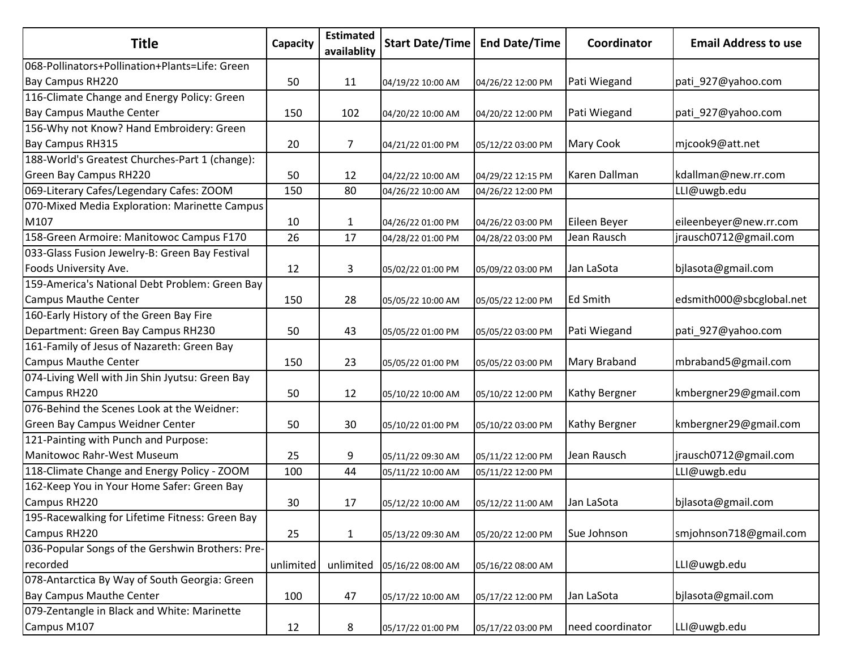| <b>Title</b>                                     | Capacity  | <b>Estimated</b><br>availablity | <b>Start Date/Time</b> | <b>End Date/Time</b> | Coordinator          | <b>Email Address to use</b> |
|--------------------------------------------------|-----------|---------------------------------|------------------------|----------------------|----------------------|-----------------------------|
| 068-Pollinators+Pollination+Plants=Life: Green   |           |                                 |                        |                      |                      |                             |
| Bay Campus RH220                                 | 50        | 11                              | 04/19/22 10:00 AM      | 04/26/22 12:00 PM    | Pati Wiegand         | pati_927@yahoo.com          |
| 116-Climate Change and Energy Policy: Green      |           |                                 |                        |                      |                      |                             |
| Bay Campus Mauthe Center                         | 150       | 102                             | 04/20/22 10:00 AM      | 04/20/22 12:00 PM    | Pati Wiegand         | pati_927@yahoo.com          |
| 156-Why not Know? Hand Embroidery: Green         |           |                                 |                        |                      |                      |                             |
| Bay Campus RH315                                 | 20        | 7                               | 04/21/22 01:00 PM      | 05/12/22 03:00 PM    | Mary Cook            | mjcook9@att.net             |
| 188-World's Greatest Churches-Part 1 (change):   |           |                                 |                        |                      |                      |                             |
| Green Bay Campus RH220                           | 50        | 12                              | 04/22/22 10:00 AM      | 04/29/22 12:15 PM    | Karen Dallman        | kdallman@new.rr.com         |
| 069-Literary Cafes/Legendary Cafes: ZOOM         | 150       | 80                              | 04/26/22 10:00 AM      | 04/26/22 12:00 PM    |                      | LLI@uwgb.edu                |
| 070-Mixed Media Exploration: Marinette Campus    |           |                                 |                        |                      |                      |                             |
| M107                                             | 10        | $\mathbf{1}$                    | 04/26/22 01:00 PM      | 04/26/22 03:00 PM    | Eileen Beyer         | eileenbeyer@new.rr.com      |
| 158-Green Armoire: Manitowoc Campus F170         | 26        | 17                              | 04/28/22 01:00 PM      | 04/28/22 03:00 PM    | Jean Rausch          | jrausch0712@gmail.com       |
| 033-Glass Fusion Jewelry-B: Green Bay Festival   |           |                                 |                        |                      |                      |                             |
| Foods University Ave.                            | 12        | 3                               | 05/02/22 01:00 PM      | 05/09/22 03:00 PM    | Jan LaSota           | bjlasota@gmail.com          |
| 159-America's National Debt Problem: Green Bay   |           |                                 |                        |                      |                      |                             |
| <b>Campus Mauthe Center</b>                      | 150       | 28                              | 05/05/22 10:00 AM      | 05/05/22 12:00 PM    | <b>Ed Smith</b>      | edsmith000@sbcglobal.net    |
| 160-Early History of the Green Bay Fire          |           |                                 |                        |                      |                      |                             |
| Department: Green Bay Campus RH230               | 50        | 43                              | 05/05/22 01:00 PM      | 05/05/22 03:00 PM    | Pati Wiegand         | pati_927@yahoo.com          |
| 161-Family of Jesus of Nazareth: Green Bay       |           |                                 |                        |                      |                      |                             |
| <b>Campus Mauthe Center</b>                      | 150       | 23                              | 05/05/22 01:00 PM      | 05/05/22 03:00 PM    | Mary Braband         | mbraband5@gmail.com         |
| 074-Living Well with Jin Shin Jyutsu: Green Bay  |           |                                 |                        |                      |                      |                             |
| Campus RH220                                     | 50        | 12                              | 05/10/22 10:00 AM      | 05/10/22 12:00 PM    | <b>Kathy Bergner</b> | kmbergner29@gmail.com       |
| 076-Behind the Scenes Look at the Weidner:       |           |                                 |                        |                      |                      |                             |
| Green Bay Campus Weidner Center                  | 50        | 30                              | 05/10/22 01:00 PM      | 05/10/22 03:00 PM    | <b>Kathy Bergner</b> | kmbergner29@gmail.com       |
| 121-Painting with Punch and Purpose:             |           |                                 |                        |                      |                      |                             |
| Manitowoc Rahr-West Museum                       | 25        | 9                               | 05/11/22 09:30 AM      | 05/11/22 12:00 PM    | Jean Rausch          | jrausch0712@gmail.com       |
| 118-Climate Change and Energy Policy - ZOOM      | 100       | 44                              | 05/11/22 10:00 AM      | 05/11/22 12:00 PM    |                      | LLI@uwgb.edu                |
| 162-Keep You in Your Home Safer: Green Bay       |           |                                 |                        |                      |                      |                             |
| Campus RH220                                     | 30        | 17                              | 05/12/22 10:00 AM      | 05/12/22 11:00 AM    | Jan LaSota           | bjlasota@gmail.com          |
| 195-Racewalking for Lifetime Fitness: Green Bay  |           |                                 |                        |                      |                      |                             |
| Campus RH220                                     | 25        | $\mathbf{1}$                    | 05/13/22 09:30 AM      | 05/20/22 12:00 PM    | Sue Johnson          | smjohnson718@gmail.com      |
| 036-Popular Songs of the Gershwin Brothers: Pre- |           |                                 |                        |                      |                      |                             |
| recorded                                         | unlimited | unlimited                       | 05/16/22 08:00 AM      | 05/16/22 08:00 AM    |                      | LLI@uwgb.edu                |
| 078-Antarctica By Way of South Georgia: Green    |           |                                 |                        |                      |                      |                             |
| <b>Bay Campus Mauthe Center</b>                  | 100       | 47                              | 05/17/22 10:00 AM      | 05/17/22 12:00 PM    | Jan LaSota           | bjlasota@gmail.com          |
| 079-Zentangle in Black and White: Marinette      |           |                                 |                        |                      |                      |                             |
| Campus M107                                      | 12        | 8                               | 05/17/22 01:00 PM      | 05/17/22 03:00 PM    | need coordinator     | LLI@uwgb.edu                |